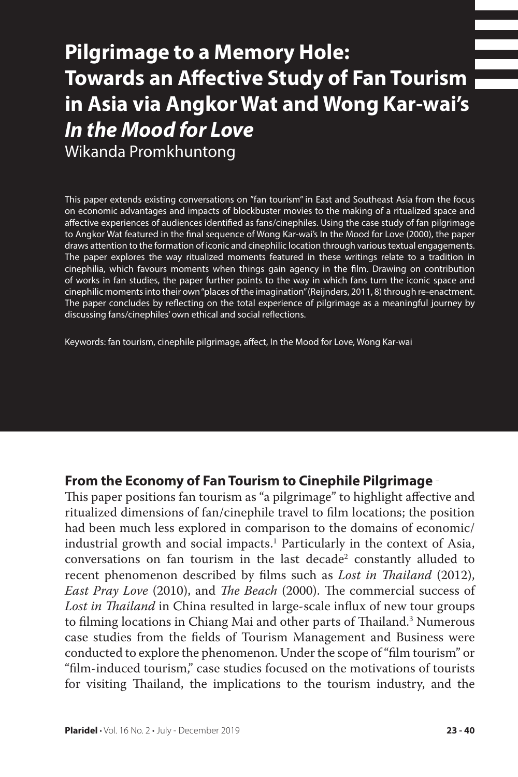# **Pilgrimage to a Memory Hole: Towards an Affective Study of Fan Tourism in Asia via Angkor Wat and Wong Kar-wai's**  *In the Mood for Love*

Wikanda Promkhuntong

This paper extends existing conversations on "fan tourism" in East and Southeast Asia from the focus on economic advantages and impacts of blockbuster movies to the making of a ritualized space and affective experiences of audiences identified as fans/cinephiles. Using the case study of fan pilgrimage to Angkor Wat featured in the final sequence of Wong Kar-wai's In the Mood for Love (2000), the paper draws attention to the formation of iconic and cinephilic location through various textual engagements. The paper explores the way ritualized moments featured in these writings relate to a tradition in cinephilia, which favours moments when things gain agency in the film. Drawing on contribution of works in fan studies, the paper further points to the way in which fans turn the iconic space and cinephilic moments into their own "places of the imagination" (Reijnders, 2011, 8) through re-enactment. The paper concludes by reflecting on the total experience of pilgrimage as a meaningful journey by discussing fans/cinephiles' own ethical and social reflections.

Keywords: fan tourism, cinephile pilgrimage, affect, In the Mood for Love, Wong Kar-wai

#### **From the Economy of Fan Tourism to Cinephile Pilgrimage**

This paper positions fan tourism as "a pilgrimage" to highlight affective and ritualized dimensions of fan/cinephile travel to film locations; the position had been much less explored in comparison to the domains of economic/ industrial growth and social impacts.1 Particularly in the context of Asia, conversations on fan tourism in the last decade $^2$  constantly alluded to recent phenomenon described by films such as *Lost in Thailand* (2012), *East Pray Love* (2010), and *The Beach* (2000). The commercial success of *Lost in Thailand* in China resulted in large-scale influx of new tour groups to filming locations in Chiang Mai and other parts of Thailand.<sup>3</sup> Numerous case studies from the fields of Tourism Management and Business were conducted to explore the phenomenon. Under the scope of "film tourism" or "film-induced tourism," case studies focused on the motivations of tourists for visiting Thailand, the implications to the tourism industry, and the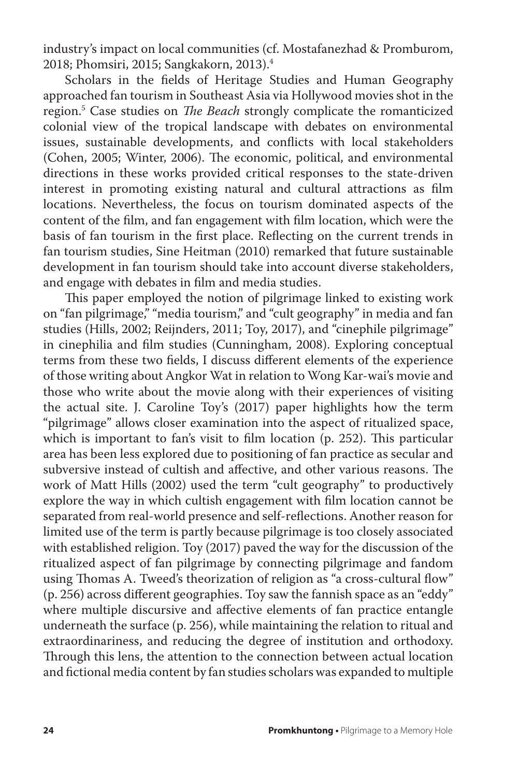industry's impact on local communities (cf. Mostafanezhad & Promburom, 2018; Phomsiri, 2015; Sangkakorn, 2013).4

Scholars in the fields of Heritage Studies and Human Geography approached fan tourism in Southeast Asia via Hollywood movies shot in the region.5 Case studies on *The Beach* strongly complicate the romanticized colonial view of the tropical landscape with debates on environmental issues, sustainable developments, and conflicts with local stakeholders (Cohen, 2005; Winter, 2006). The economic, political, and environmental directions in these works provided critical responses to the state-driven interest in promoting existing natural and cultural attractions as film locations. Nevertheless, the focus on tourism dominated aspects of the content of the film, and fan engagement with film location, which were the basis of fan tourism in the first place. Reflecting on the current trends in fan tourism studies, Sine Heitman (2010) remarked that future sustainable development in fan tourism should take into account diverse stakeholders, and engage with debates in film and media studies.

This paper employed the notion of pilgrimage linked to existing work on "fan pilgrimage," "media tourism," and "cult geography" in media and fan studies (Hills, 2002; Reijnders, 2011; Toy, 2017), and "cinephile pilgrimage" in cinephilia and film studies (Cunningham, 2008). Exploring conceptual terms from these two fields, I discuss different elements of the experience of those writing about Angkor Wat in relation to Wong Kar-wai's movie and those who write about the movie along with their experiences of visiting the actual site. J. Caroline Toy's (2017) paper highlights how the term "pilgrimage" allows closer examination into the aspect of ritualized space, which is important to fan's visit to film location (p. 252). This particular area has been less explored due to positioning of fan practice as secular and subversive instead of cultish and affective, and other various reasons. The work of Matt Hills (2002) used the term "cult geography" to productively explore the way in which cultish engagement with film location cannot be separated from real-world presence and self-reflections. Another reason for limited use of the term is partly because pilgrimage is too closely associated with established religion. Toy (2017) paved the way for the discussion of the ritualized aspect of fan pilgrimage by connecting pilgrimage and fandom using Thomas A. Tweed's theorization of religion as "a cross-cultural flow" (p. 256) across different geographies. Toy saw the fannish space as an "eddy" where multiple discursive and affective elements of fan practice entangle underneath the surface (p. 256), while maintaining the relation to ritual and extraordinariness, and reducing the degree of institution and orthodoxy. Through this lens, the attention to the connection between actual location and fictional media content by fan studies scholars was expanded to multiple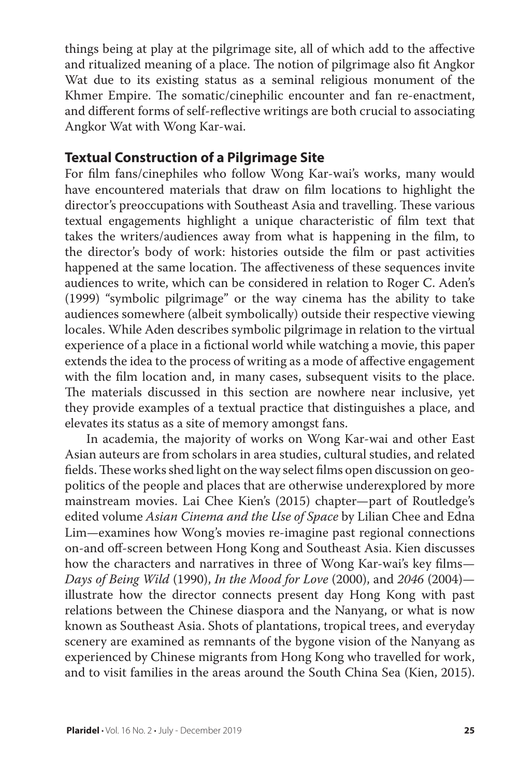things being at play at the pilgrimage site, all of which add to the affective and ritualized meaning of a place. The notion of pilgrimage also fit Angkor Wat due to its existing status as a seminal religious monument of the Khmer Empire. The somatic/cinephilic encounter and fan re-enactment, and different forms of self-reflective writings are both crucial to associating Angkor Wat with Wong Kar-wai.

### **Textual Construction of a Pilgrimage Site**

For film fans/cinephiles who follow Wong Kar-wai's works, many would have encountered materials that draw on film locations to highlight the director's preoccupations with Southeast Asia and travelling. These various textual engagements highlight a unique characteristic of film text that takes the writers/audiences away from what is happening in the film, to the director's body of work: histories outside the film or past activities happened at the same location. The affectiveness of these sequences invite audiences to write, which can be considered in relation to Roger C. Aden's (1999) "symbolic pilgrimage" or the way cinema has the ability to take audiences somewhere (albeit symbolically) outside their respective viewing locales. While Aden describes symbolic pilgrimage in relation to the virtual experience of a place in a fictional world while watching a movie, this paper extends the idea to the process of writing as a mode of affective engagement with the film location and, in many cases, subsequent visits to the place. The materials discussed in this section are nowhere near inclusive, yet they provide examples of a textual practice that distinguishes a place, and elevates its status as a site of memory amongst fans.

In academia, the majority of works on Wong Kar-wai and other East Asian auteurs are from scholars in area studies, cultural studies, and related fields. These works shed light on the way select films open discussion on geopolitics of the people and places that are otherwise underexplored by more mainstream movies. Lai Chee Kien's (2015) chapter—part of Routledge's edited volume *Asian Cinema and the Use of Space* by Lilian Chee and Edna Lim*—*examines how Wong's movies re-imagine past regional connections on-and off-screen between Hong Kong and Southeast Asia. Kien discusses how the characters and narratives in three of Wong Kar-wai's key films— *Days of Being Wild* (1990), *In the Mood for Love* (2000), and *2046* (2004) illustrate how the director connects present day Hong Kong with past relations between the Chinese diaspora and the Nanyang, or what is now known as Southeast Asia. Shots of plantations, tropical trees, and everyday scenery are examined as remnants of the bygone vision of the Nanyang as experienced by Chinese migrants from Hong Kong who travelled for work, and to visit families in the areas around the South China Sea (Kien, 2015).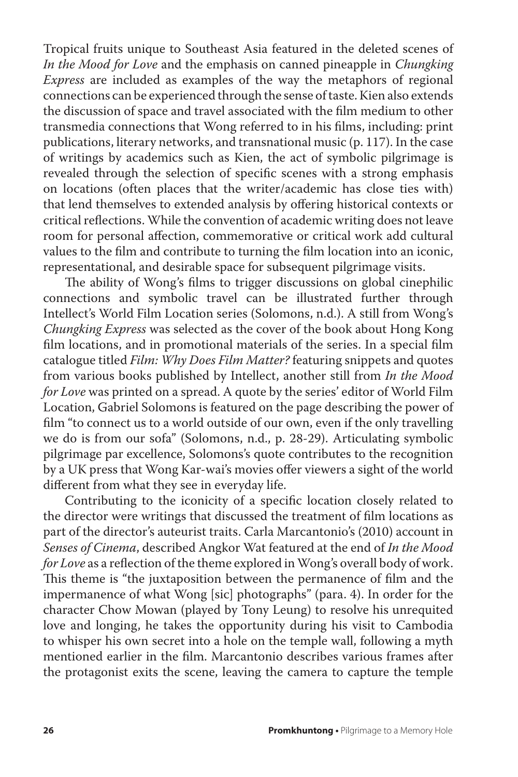Tropical fruits unique to Southeast Asia featured in the deleted scenes of *In the Mood for Love* and the emphasis on canned pineapple in *Chungking Express* are included as examples of the way the metaphors of regional connections can be experienced through the sense of taste. Kien also extends the discussion of space and travel associated with the film medium to other transmedia connections that Wong referred to in his films, including: print publications, literary networks, and transnational music (p. 117). In the case of writings by academics such as Kien, the act of symbolic pilgrimage is revealed through the selection of specific scenes with a strong emphasis on locations (often places that the writer/academic has close ties with) that lend themselves to extended analysis by offering historical contexts or critical reflections. While the convention of academic writing does not leave room for personal affection, commemorative or critical work add cultural values to the film and contribute to turning the film location into an iconic, representational, and desirable space for subsequent pilgrimage visits.

The ability of Wong's films to trigger discussions on global cinephilic connections and symbolic travel can be illustrated further through Intellect's World Film Location series (Solomons, n.d.). A still from Wong's *Chungking Express* was selected as the cover of the book about Hong Kong film locations, and in promotional materials of the series. In a special film catalogue titled *Film: Why Does Film Matter?* featuring snippets and quotes from various books published by Intellect, another still from *In the Mood for Love* was printed on a spread. A quote by the series' editor of World Film Location, Gabriel Solomons is featured on the page describing the power of film "to connect us to a world outside of our own, even if the only travelling we do is from our sofa" (Solomons, n.d., p. 28-29). Articulating symbolic pilgrimage par excellence, Solomons's quote contributes to the recognition by a UK press that Wong Kar-wai's movies offer viewers a sight of the world different from what they see in everyday life.

Contributing to the iconicity of a specific location closely related to the director were writings that discussed the treatment of film locations as part of the director's auteurist traits. Carla Marcantonio's (2010) account in *Senses of Cinema*, described Angkor Wat featured at the end of *In the Mood for Love* as a reflection of the theme explored in Wong's overall body of work. This theme is "the juxtaposition between the permanence of film and the impermanence of what Wong [sic] photographs" (para. 4). In order for the character Chow Mowan (played by Tony Leung) to resolve his unrequited love and longing, he takes the opportunity during his visit to Cambodia to whisper his own secret into a hole on the temple wall, following a myth mentioned earlier in the film. Marcantonio describes various frames after the protagonist exits the scene, leaving the camera to capture the temple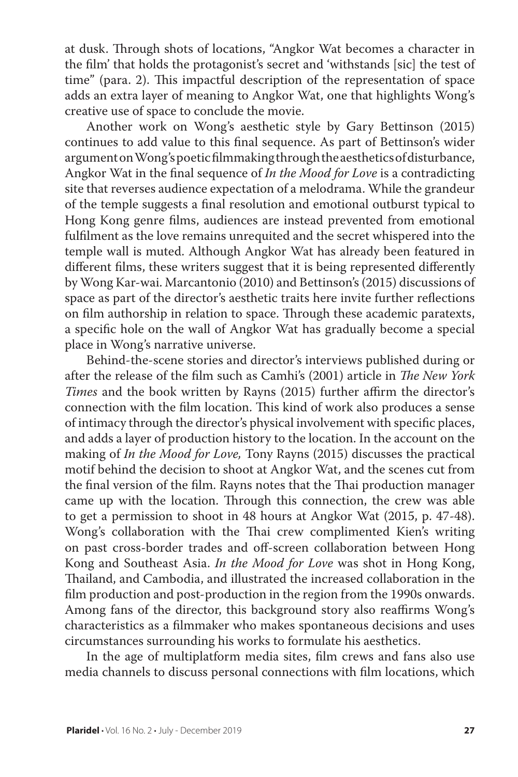at dusk. Through shots of locations, "Angkor Wat becomes a character in the film' that holds the protagonist's secret and 'withstands [sic] the test of time" (para. 2). This impactful description of the representation of space adds an extra layer of meaning to Angkor Wat, one that highlights Wong's creative use of space to conclude the movie.

Another work on Wong's aesthetic style by Gary Bettinson (2015) continues to add value to this final sequence. As part of Bettinson's wider argument on Wong's poetic filmmaking through the aesthetics of disturbance, Angkor Wat in the final sequence of *In the Mood for Love* is a contradicting site that reverses audience expectation of a melodrama. While the grandeur of the temple suggests a final resolution and emotional outburst typical to Hong Kong genre films, audiences are instead prevented from emotional fulfilment as the love remains unrequited and the secret whispered into the temple wall is muted. Although Angkor Wat has already been featured in different films, these writers suggest that it is being represented differently by Wong Kar-wai. Marcantonio (2010) and Bettinson's (2015) discussions of space as part of the director's aesthetic traits here invite further reflections on film authorship in relation to space. Through these academic paratexts, a specific hole on the wall of Angkor Wat has gradually become a special place in Wong's narrative universe.

Behind-the-scene stories and director's interviews published during or after the release of the film such as Camhi's (2001) article in *The New York Times* and the book written by Rayns (2015) further affirm the director's connection with the film location. This kind of work also produces a sense of intimacy through the director's physical involvement with specific places, and adds a layer of production history to the location. In the account on the making of *In the Mood for Love,* Tony Rayns (2015) discusses the practical motif behind the decision to shoot at Angkor Wat, and the scenes cut from the final version of the film. Rayns notes that the Thai production manager came up with the location. Through this connection, the crew was able to get a permission to shoot in 48 hours at Angkor Wat (2015, p. 47-48). Wong's collaboration with the Thai crew complimented Kien's writing on past cross-border trades and off-screen collaboration between Hong Kong and Southeast Asia. *In the Mood for Love* was shot in Hong Kong, Thailand, and Cambodia, and illustrated the increased collaboration in the film production and post-production in the region from the 1990s onwards. Among fans of the director, this background story also reaffirms Wong's characteristics as a filmmaker who makes spontaneous decisions and uses circumstances surrounding his works to formulate his aesthetics.

In the age of multiplatform media sites, film crews and fans also use media channels to discuss personal connections with film locations, which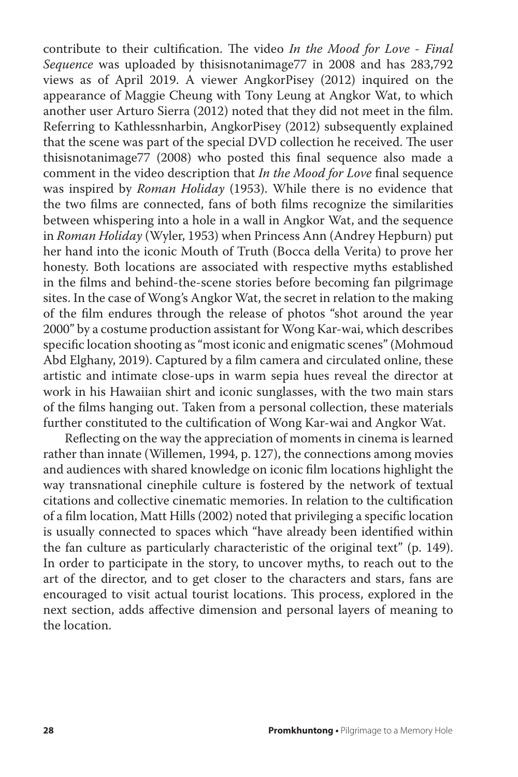contribute to their cultification. The video *In the Mood for Love - Final Sequence* was uploaded by thisisnotanimage77 in 2008 and has 283,792 views as of April 2019. A viewer AngkorPisey (2012) inquired on the appearance of Maggie Cheung with Tony Leung at Angkor Wat, to which another user Arturo Sierra (2012) noted that they did not meet in the film. Referring to Kathlessnharbin, AngkorPisey (2012) subsequently explained that the scene was part of the special DVD collection he received. The user thisisnotanimage77 (2008) who posted this final sequence also made a comment in the video description that *In the Mood for Love* final sequence was inspired by *Roman Holiday* (1953). While there is no evidence that the two films are connected, fans of both films recognize the similarities between whispering into a hole in a wall in Angkor Wat, and the sequence in *Roman Holiday* (Wyler, 1953) when Princess Ann (Andrey Hepburn) put her hand into the iconic Mouth of Truth (Bocca della Verita) to prove her honesty. Both locations are associated with respective myths established in the films and behind-the-scene stories before becoming fan pilgrimage sites. In the case of Wong's Angkor Wat, the secret in relation to the making of the film endures through the release of photos "shot around the year 2000" by a costume production assistant for Wong Kar-wai, which describes specific location shooting as "most iconic and enigmatic scenes" (Mohmoud Abd Elghany, 2019). Captured by a film camera and circulated online, these artistic and intimate close-ups in warm sepia hues reveal the director at work in his Hawaiian shirt and iconic sunglasses, with the two main stars of the films hanging out. Taken from a personal collection, these materials further constituted to the cultification of Wong Kar-wai and Angkor Wat.

Reflecting on the way the appreciation of moments in cinema is learned rather than innate (Willemen, 1994, p. 127), the connections among movies and audiences with shared knowledge on iconic film locations highlight the way transnational cinephile culture is fostered by the network of textual citations and collective cinematic memories. In relation to the cultification of a film location, Matt Hills (2002) noted that privileging a specific location is usually connected to spaces which "have already been identified within the fan culture as particularly characteristic of the original text" (p. 149). In order to participate in the story, to uncover myths, to reach out to the art of the director, and to get closer to the characters and stars, fans are encouraged to visit actual tourist locations. This process, explored in the next section, adds affective dimension and personal layers of meaning to the location.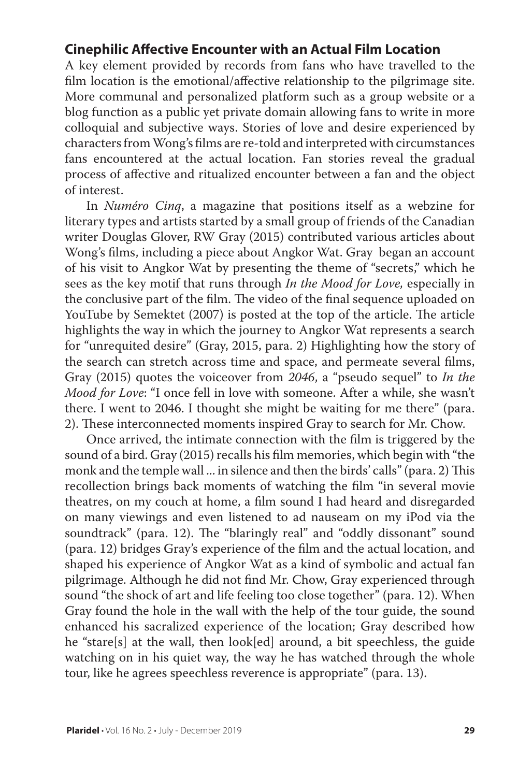### **Cinephilic Affective Encounter with an Actual Film Location**

A key element provided by records from fans who have travelled to the film location is the emotional/affective relationship to the pilgrimage site. More communal and personalized platform such as a group website or a blog function as a public yet private domain allowing fans to write in more colloquial and subjective ways. Stories of love and desire experienced by characters from Wong's films are re-told and interpreted with circumstances fans encountered at the actual location. Fan stories reveal the gradual process of affective and ritualized encounter between a fan and the object of interest.

In *Numéro Cinq*, a magazine that positions itself as a webzine for literary types and artists started by a small group of friends of the Canadian writer Douglas Glover, RW Gray (2015) contributed various articles about Wong's films, including a piece about Angkor Wat. Gray began an account of his visit to Angkor Wat by presenting the theme of "secrets," which he sees as the key motif that runs through *In the Mood for Love,* especially in the conclusive part of the film. The video of the final sequence uploaded on YouTube by Semektet (2007) is posted at the top of the article. The article highlights the way in which the journey to Angkor Wat represents a search for "unrequited desire" (Gray, 2015, para. 2) Highlighting how the story of the search can stretch across time and space, and permeate several films, Gray (2015) quotes the voiceover from *2046*, a "pseudo sequel" to *In the Mood for Love*: "I once fell in love with someone. After a while, she wasn't there. I went to 2046. I thought she might be waiting for me there" (para. 2). These interconnected moments inspired Gray to search for Mr. Chow.

Once arrived, the intimate connection with the film is triggered by the sound of a bird. Gray (2015) recalls his film memories, which begin with "the monk and the temple wall ... in silence and then the birds' calls" (para. 2) This recollection brings back moments of watching the film "in several movie theatres, on my couch at home, a film sound I had heard and disregarded on many viewings and even listened to ad nauseam on my iPod via the soundtrack" (para. 12). The "blaringly real" and "oddly dissonant" sound (para. 12) bridges Gray's experience of the film and the actual location, and shaped his experience of Angkor Wat as a kind of symbolic and actual fan pilgrimage. Although he did not find Mr. Chow, Gray experienced through sound "the shock of art and life feeling too close together" (para. 12). When Gray found the hole in the wall with the help of the tour guide, the sound enhanced his sacralized experience of the location; Gray described how he "stare[s] at the wall, then look[ed] around, a bit speechless, the guide watching on in his quiet way, the way he has watched through the whole tour, like he agrees speechless reverence is appropriate" (para. 13).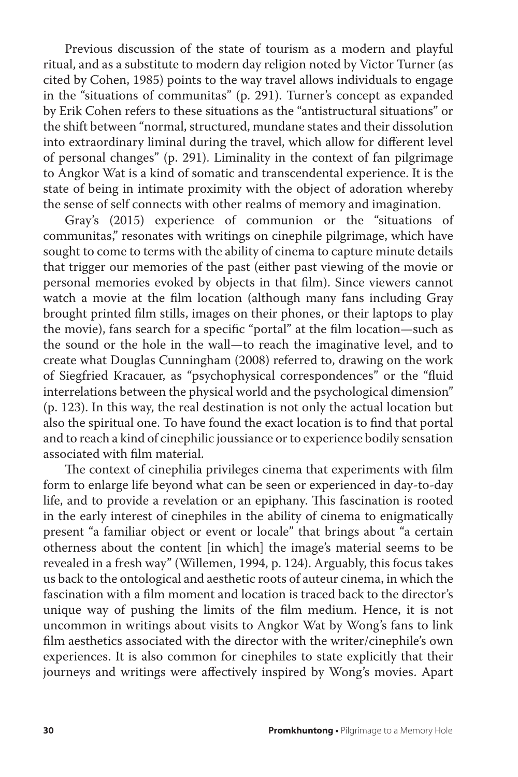Previous discussion of the state of tourism as a modern and playful ritual, and as a substitute to modern day religion noted by Victor Turner (as cited by Cohen, 1985) points to the way travel allows individuals to engage in the "situations of communitas" (p. 291). Turner's concept as expanded by Erik Cohen refers to these situations as the "antistructural situations" or the shift between "normal, structured, mundane states and their dissolution into extraordinary liminal during the travel, which allow for different level of personal changes" (p. 291). Liminality in the context of fan pilgrimage to Angkor Wat is a kind of somatic and transcendental experience. It is the state of being in intimate proximity with the object of adoration whereby the sense of self connects with other realms of memory and imagination.

Gray's (2015) experience of communion or the "situations of communitas," resonates with writings on cinephile pilgrimage, which have sought to come to terms with the ability of cinema to capture minute details that trigger our memories of the past (either past viewing of the movie or personal memories evoked by objects in that film). Since viewers cannot watch a movie at the film location (although many fans including Gray brought printed film stills, images on their phones, or their laptops to play the movie), fans search for a specific "portal" at the film location—such as the sound or the hole in the wall—to reach the imaginative level, and to create what Douglas Cunningham (2008) referred to, drawing on the work of Siegfried Kracauer, as "psychophysical correspondences" or the "fluid interrelations between the physical world and the psychological dimension" (p. 123). In this way, the real destination is not only the actual location but also the spiritual one. To have found the exact location is to find that portal and to reach a kind of cinephilic joussiance or to experience bodily sensation associated with film material.

The context of cinephilia privileges cinema that experiments with film form to enlarge life beyond what can be seen or experienced in day-to-day life, and to provide a revelation or an epiphany. This fascination is rooted in the early interest of cinephiles in the ability of cinema to enigmatically present "a familiar object or event or locale" that brings about "a certain otherness about the content [in which] the image's material seems to be revealed in a fresh way" (Willemen, 1994, p. 124). Arguably, this focus takes us back to the ontological and aesthetic roots of auteur cinema, in which the fascination with a film moment and location is traced back to the director's unique way of pushing the limits of the film medium. Hence, it is not uncommon in writings about visits to Angkor Wat by Wong's fans to link film aesthetics associated with the director with the writer/cinephile's own experiences. It is also common for cinephiles to state explicitly that their journeys and writings were affectively inspired by Wong's movies. Apart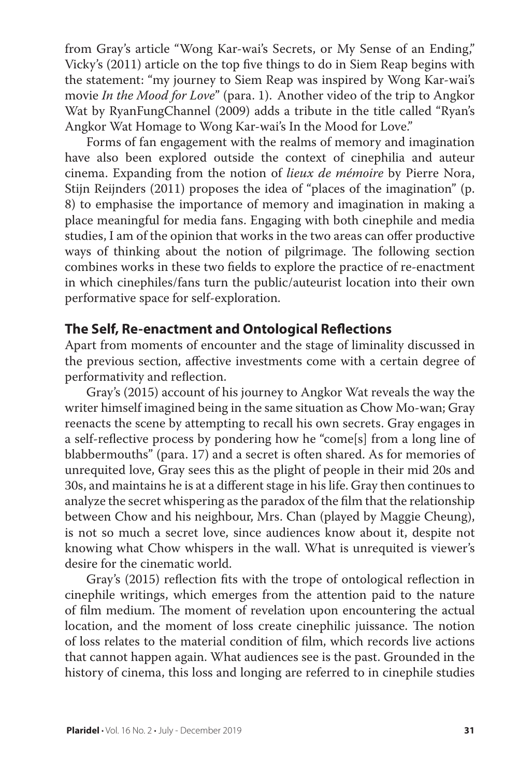from Gray's article "Wong Kar-wai's Secrets, or My Sense of an Ending," Vicky's (2011) article on the top five things to do in Siem Reap begins with the statement: "my journey to Siem Reap was inspired by Wong Kar-wai's movie *In the Mood for Love*" (para. 1). Another video of the trip to Angkor Wat by RyanFungChannel (2009) adds a tribute in the title called "Ryan's Angkor Wat Homage to Wong Kar-wai's In the Mood for Love."

Forms of fan engagement with the realms of memory and imagination have also been explored outside the context of cinephilia and auteur cinema. Expanding from the notion of *lieux de mémoire* by Pierre Nora, Stijn Reijnders (2011) proposes the idea of "places of the imagination" (p. 8) to emphasise the importance of memory and imagination in making a place meaningful for media fans. Engaging with both cinephile and media studies, I am of the opinion that works in the two areas can offer productive ways of thinking about the notion of pilgrimage. The following section combines works in these two fields to explore the practice of re-enactment in which cinephiles/fans turn the public/auteurist location into their own performative space for self-exploration.

#### **The Self, Re-enactment and Ontological Reflections**

Apart from moments of encounter and the stage of liminality discussed in the previous section, affective investments come with a certain degree of performativity and reflection.

Gray's (2015) account of his journey to Angkor Wat reveals the way the writer himself imagined being in the same situation as Chow Mo-wan; Gray reenacts the scene by attempting to recall his own secrets. Gray engages in a self-reflective process by pondering how he "come[s] from a long line of blabbermouths" (para. 17) and a secret is often shared. As for memories of unrequited love, Gray sees this as the plight of people in their mid 20s and 30s, and maintains he is at a different stage in his life. Gray then continues to analyze the secret whispering as the paradox of the film that the relationship between Chow and his neighbour, Mrs. Chan (played by Maggie Cheung), is not so much a secret love, since audiences know about it, despite not knowing what Chow whispers in the wall. What is unrequited is viewer's desire for the cinematic world.

Gray's (2015) reflection fits with the trope of ontological reflection in cinephile writings, which emerges from the attention paid to the nature of film medium. The moment of revelation upon encountering the actual location, and the moment of loss create cinephilic juissance. The notion of loss relates to the material condition of film, which records live actions that cannot happen again. What audiences see is the past. Grounded in the history of cinema, this loss and longing are referred to in cinephile studies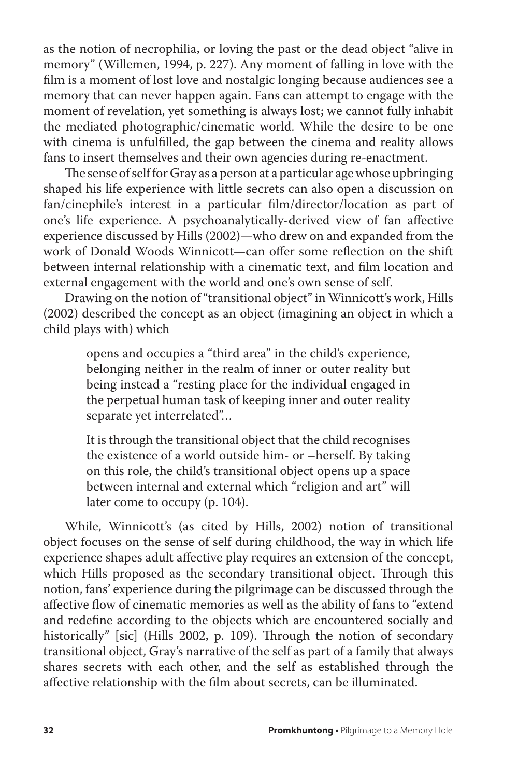as the notion of necrophilia, or loving the past or the dead object "alive in memory" (Willemen, 1994, p. 227). Any moment of falling in love with the film is a moment of lost love and nostalgic longing because audiences see a memory that can never happen again. Fans can attempt to engage with the moment of revelation, yet something is always lost; we cannot fully inhabit the mediated photographic/cinematic world. While the desire to be one with cinema is unfulfilled, the gap between the cinema and reality allows fans to insert themselves and their own agencies during re-enactment.

The sense of self for Gray as a person at a particular age whose upbringing shaped his life experience with little secrets can also open a discussion on fan/cinephile's interest in a particular film/director/location as part of one's life experience. A psychoanalytically-derived view of fan affective experience discussed by Hills (2002)—who drew on and expanded from the work of Donald Woods Winnicott—can offer some reflection on the shift between internal relationship with a cinematic text, and film location and external engagement with the world and one's own sense of self.

Drawing on the notion of "transitional object" in Winnicott's work, Hills (2002) described the concept as an object (imagining an object in which a child plays with) which

> opens and occupies a "third area" in the child's experience, belonging neither in the realm of inner or outer reality but being instead a "resting place for the individual engaged in the perpetual human task of keeping inner and outer reality separate yet interrelated"…

> It is through the transitional object that the child recognises the existence of a world outside him- or –herself. By taking on this role, the child's transitional object opens up a space between internal and external which "religion and art" will later come to occupy (p. 104).

While, Winnicott's (as cited by Hills, 2002) notion of transitional object focuses on the sense of self during childhood, the way in which life experience shapes adult affective play requires an extension of the concept, which Hills proposed as the secondary transitional object. Through this notion, fans' experience during the pilgrimage can be discussed through the affective flow of cinematic memories as well as the ability of fans to "extend and redefine according to the objects which are encountered socially and historically" [sic] (Hills 2002, p. 109). Through the notion of secondary transitional object, Gray's narrative of the self as part of a family that always shares secrets with each other, and the self as established through the affective relationship with the film about secrets, can be illuminated.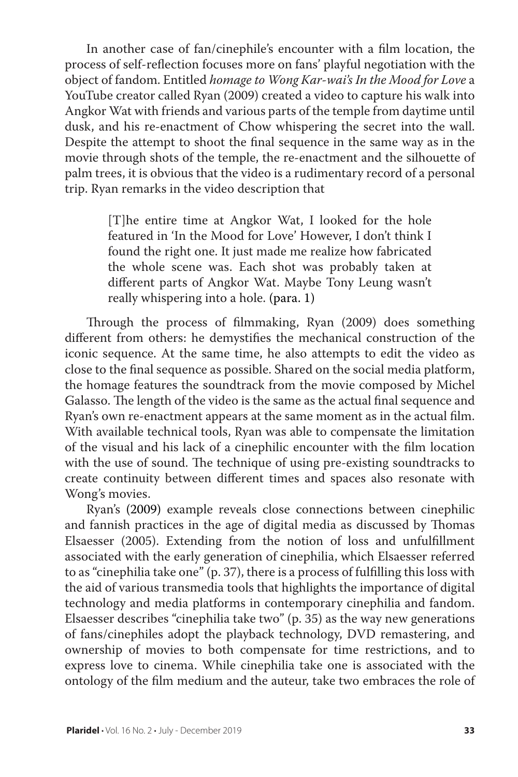In another case of fan/cinephile's encounter with a film location, the process of self-reflection focuses more on fans' playful negotiation with the object of fandom. Entitled *homage to Wong Kar-wai's In the Mood for Love* a YouTube creator called Ryan (2009) created a video to capture his walk into Angkor Wat with friends and various parts of the temple from daytime until dusk, and his re-enactment of Chow whispering the secret into the wall. Despite the attempt to shoot the final sequence in the same way as in the movie through shots of the temple, the re-enactment and the silhouette of palm trees, it is obvious that the video is a rudimentary record of a personal trip. Ryan remarks in the video description that

> [T]he entire time at Angkor Wat, I looked for the hole featured in 'In the Mood for Love' However, I don't think I found the right one. It just made me realize how fabricated the whole scene was. Each shot was probably taken at different parts of Angkor Wat. Maybe Tony Leung wasn't really whispering into a hole. (para. 1)

Through the process of filmmaking, Ryan (2009) does something different from others: he demystifies the mechanical construction of the iconic sequence. At the same time, he also attempts to edit the video as close to the final sequence as possible. Shared on the social media platform, the homage features the soundtrack from the movie composed by Michel Galasso. The length of the video is the same as the actual final sequence and Ryan's own re-enactment appears at the same moment as in the actual film. With available technical tools, Ryan was able to compensate the limitation of the visual and his lack of a cinephilic encounter with the film location with the use of sound. The technique of using pre-existing soundtracks to create continuity between different times and spaces also resonate with Wong's movies.

Ryan's (2009) example reveals close connections between cinephilic and fannish practices in the age of digital media as discussed by Thomas Elsaesser (2005). Extending from the notion of loss and unfulfillment associated with the early generation of cinephilia, which Elsaesser referred to as "cinephilia take one" (p. 37), there is a process of fulfilling this loss with the aid of various transmedia tools that highlights the importance of digital technology and media platforms in contemporary cinephilia and fandom. Elsaesser describes "cinephilia take two" (p. 35) as the way new generations of fans/cinephiles adopt the playback technology, DVD remastering, and ownership of movies to both compensate for time restrictions, and to express love to cinema. While cinephilia take one is associated with the ontology of the film medium and the auteur, take two embraces the role of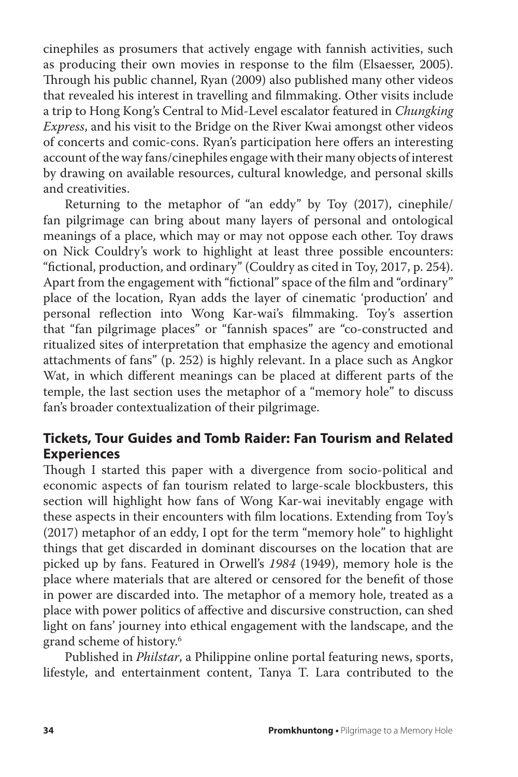cinephiles as prosumers that actively engage with fannish activities, such as producing their own movies in response to the film (Elsaesser, 2005). Through his public channel, Ryan (2009) also published many other videos that revealed his interest in travelling and filmmaking. Other visits include a trip to Hong Kong's Central to Mid-Level escalator featured in *Chungking Express*, and his visit to the Bridge on the River Kwai amongst other videos of concerts and comic-cons. Ryan's participation here offers an interesting account of the way fans/cinephiles engage with their many objects of interest by drawing on available resources, cultural knowledge, and personal skills and creativities.

Returning to the metaphor of "an eddy" by Toy (2017), cinephile/ fan pilgrimage can bring about many layers of personal and ontological meanings of a place, which may or may not oppose each other. Toy draws on Nick Couldry's work to highlight at least three possible encounters: "fictional, production, and ordinary" (Couldry as cited in Toy, 2017, p. 254). Apart from the engagement with "fictional" space of the film and "ordinary" place of the location, Ryan adds the layer of cinematic 'production' and personal reflection into Wong Kar-wai's filmmaking. Toy's assertion that "fan pilgrimage places" or "fannish spaces" are "co-constructed and ritualized sites of interpretation that emphasize the agency and emotional attachments of fans" (p. 252) is highly relevant. In a place such as Angkor Wat, in which different meanings can be placed at different parts of the temple, the last section uses the metaphor of a "memory hole" to discuss fan's broader contextualization of their pilgrimage.

## **Tickets, Tour Guides and Tomb Raider: Fan Tourism and Related Experiences**

Though I started this paper with a divergence from socio-political and economic aspects of fan tourism related to large-scale blockbusters, this section will highlight how fans of Wong Kar-wai inevitably engage with these aspects in their encounters with film locations. Extending from Toy's (2017) metaphor of an eddy, I opt for the term "memory hole" to highlight things that get discarded in dominant discourses on the location that are picked up by fans. Featured in Orwell's *1984* (1949), memory hole is the place where materials that are altered or censored for the benefit of those in power are discarded into. The metaphor of a memory hole, treated as a place with power politics of affective and discursive construction, can shed light on fans' journey into ethical engagement with the landscape, and the grand scheme of history.6

Published in *Philstar*, a Philippine online portal featuring news, sports, lifestyle, and entertainment content, Tanya T. Lara contributed to the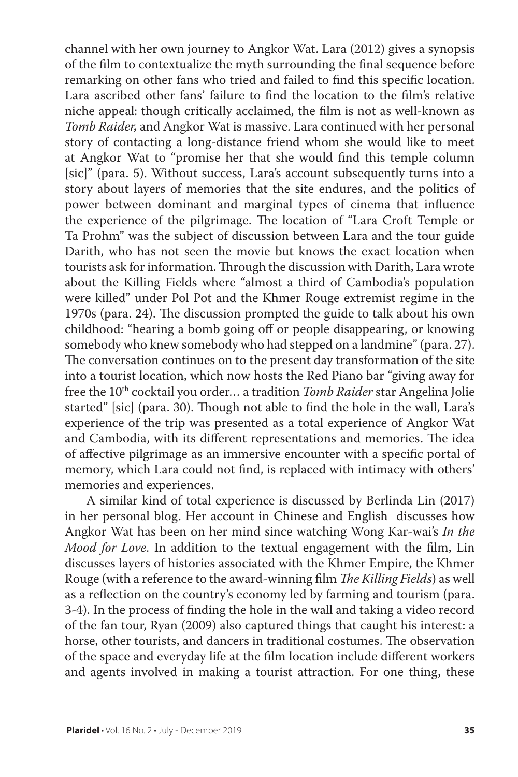channel with her own journey to Angkor Wat. Lara (2012) gives a synopsis of the film to contextualize the myth surrounding the final sequence before remarking on other fans who tried and failed to find this specific location. Lara ascribed other fans' failure to find the location to the film's relative niche appeal: though critically acclaimed, the film is not as well-known as *Tomb Raider,* and Angkor Wat is massive. Lara continued with her personal story of contacting a long-distance friend whom she would like to meet at Angkor Wat to "promise her that she would find this temple column [sic]" (para. 5). Without success, Lara's account subsequently turns into a story about layers of memories that the site endures, and the politics of power between dominant and marginal types of cinema that influence the experience of the pilgrimage. The location of "Lara Croft Temple or Ta Prohm" was the subject of discussion between Lara and the tour guide Darith, who has not seen the movie but knows the exact location when tourists ask for information. Through the discussion with Darith, Lara wrote about the Killing Fields where "almost a third of Cambodia's population were killed" under Pol Pot and the Khmer Rouge extremist regime in the 1970s (para. 24). The discussion prompted the guide to talk about his own childhood: "hearing a bomb going off or people disappearing, or knowing somebody who knew somebody who had stepped on a landmine" (para. 27). The conversation continues on to the present day transformation of the site into a tourist location, which now hosts the Red Piano bar "giving away for free the 10<sup>th</sup> cocktail you order... a tradition *Tomb Raider* star Angelina Jolie started" [sic] (para. 30). Though not able to find the hole in the wall, Lara's experience of the trip was presented as a total experience of Angkor Wat and Cambodia, with its different representations and memories. The idea of affective pilgrimage as an immersive encounter with a specific portal of memory, which Lara could not find, is replaced with intimacy with others' memories and experiences.

A similar kind of total experience is discussed by Berlinda Lin (2017) in her personal blog. Her account in Chinese and English discusses how Angkor Wat has been on her mind since watching Wong Kar-wai's *In the Mood for Love*. In addition to the textual engagement with the film, Lin discusses layers of histories associated with the Khmer Empire, the Khmer Rouge (with a reference to the award-winning film *The Killing Fields*) as well as a reflection on the country's economy led by farming and tourism (para. 3-4). In the process of finding the hole in the wall and taking a video record of the fan tour, Ryan (2009) also captured things that caught his interest: a horse, other tourists, and dancers in traditional costumes. The observation of the space and everyday life at the film location include different workers and agents involved in making a tourist attraction. For one thing, these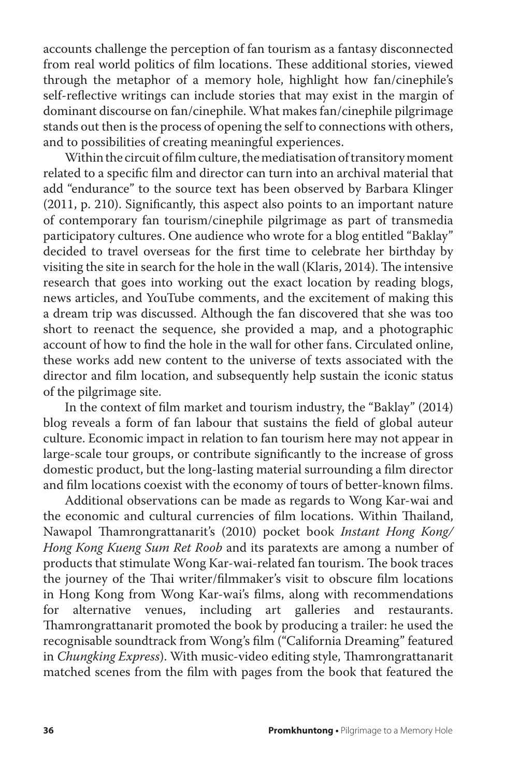accounts challenge the perception of fan tourism as a fantasy disconnected from real world politics of film locations. These additional stories, viewed through the metaphor of a memory hole, highlight how fan/cinephile's self-reflective writings can include stories that may exist in the margin of dominant discourse on fan/cinephile. What makes fan/cinephile pilgrimage stands out then is the process of opening the self to connections with others, and to possibilities of creating meaningful experiences.

Within the circuit of film culture, the mediatisation of transitory moment related to a specific film and director can turn into an archival material that add "endurance" to the source text has been observed by Barbara Klinger (2011, p. 210). Significantly, this aspect also points to an important nature of contemporary fan tourism/cinephile pilgrimage as part of transmedia participatory cultures. One audience who wrote for a blog entitled "Baklay" decided to travel overseas for the first time to celebrate her birthday by visiting the site in search for the hole in the wall (Klaris, 2014). The intensive research that goes into working out the exact location by reading blogs, news articles, and YouTube comments, and the excitement of making this a dream trip was discussed. Although the fan discovered that she was too short to reenact the sequence, she provided a map, and a photographic account of how to find the hole in the wall for other fans. Circulated online, these works add new content to the universe of texts associated with the director and film location, and subsequently help sustain the iconic status of the pilgrimage site.

In the context of film market and tourism industry, the "Baklay" (2014) blog reveals a form of fan labour that sustains the field of global auteur culture. Economic impact in relation to fan tourism here may not appear in large-scale tour groups, or contribute significantly to the increase of gross domestic product, but the long-lasting material surrounding a film director and film locations coexist with the economy of tours of better-known films.

Additional observations can be made as regards to Wong Kar-wai and the economic and cultural currencies of film locations. Within Thailand, Nawapol Thamrongrattanarit's (2010) pocket book *Instant Hong Kong/ Hong Kong Kueng Sum Ret Roob* and its paratexts are among a number of products that stimulate Wong Kar-wai-related fan tourism. The book traces the journey of the Thai writer/filmmaker's visit to obscure film locations in Hong Kong from Wong Kar-wai's films, along with recommendations for alternative venues, including art galleries and restaurants. Thamrongrattanarit promoted the book by producing a trailer: he used the recognisable soundtrack from Wong's film ("California Dreaming" featured in *Chungking Express*). With music-video editing style, Thamrongrattanarit matched scenes from the film with pages from the book that featured the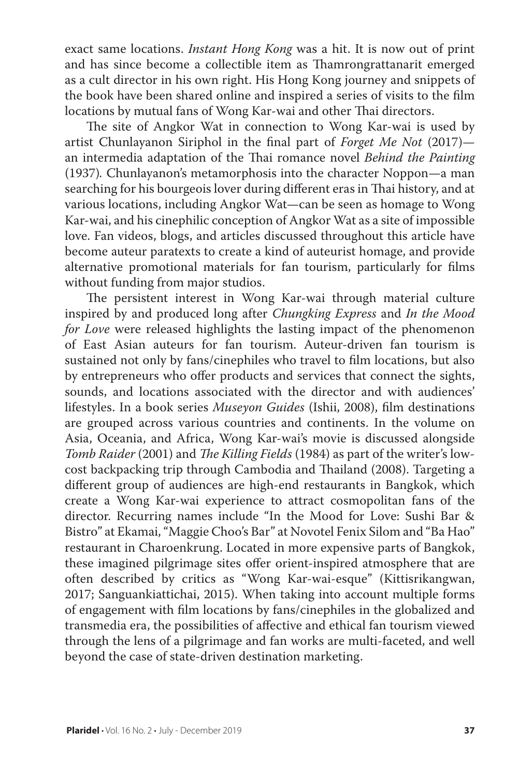exact same locations. *Instant Hong Kong* was a hit. It is now out of print and has since become a collectible item as Thamrongrattanarit emerged as a cult director in his own right. His Hong Kong journey and snippets of the book have been shared online and inspired a series of visits to the film locations by mutual fans of Wong Kar-wai and other Thai directors.

The site of Angkor Wat in connection to Wong Kar-wai is used by artist Chunlayanon Siriphol in the final part of *Forget Me Not* (2017) an intermedia adaptation of the Thai romance novel *Behind the Painting* (1937)*.* Chunlayanon's metamorphosis into the character Noppon—a man searching for his bourgeois lover during different eras in Thai history, and at various locations, including Angkor Wat—can be seen as homage to Wong Kar-wai, and his cinephilic conception of Angkor Wat as a site of impossible love. Fan videos, blogs, and articles discussed throughout this article have become auteur paratexts to create a kind of auteurist homage, and provide alternative promotional materials for fan tourism, particularly for films without funding from major studios.

The persistent interest in Wong Kar-wai through material culture inspired by and produced long after *Chungking Express* and *In the Mood for Love* were released highlights the lasting impact of the phenomenon of East Asian auteurs for fan tourism. Auteur-driven fan tourism is sustained not only by fans/cinephiles who travel to film locations, but also by entrepreneurs who offer products and services that connect the sights, sounds, and locations associated with the director and with audiences' lifestyles. In a book series *Museyon Guides* (Ishii, 2008), film destinations are grouped across various countries and continents. In the volume on Asia, Oceania, and Africa, Wong Kar-wai's movie is discussed alongside *Tomb Raider* (2001) and *The Killing Fields* (1984) as part of the writer's lowcost backpacking trip through Cambodia and Thailand (2008). Targeting a different group of audiences are high-end restaurants in Bangkok, which create a Wong Kar-wai experience to attract cosmopolitan fans of the director. Recurring names include "In the Mood for Love: Sushi Bar & Bistro" at Ekamai, "Maggie Choo's Bar" at Novotel Fenix Silom and "Ba Hao" restaurant in Charoenkrung. Located in more expensive parts of Bangkok, these imagined pilgrimage sites offer orient-inspired atmosphere that are often described by critics as "Wong Kar-wai-esque" (Kittisrikangwan, 2017; Sanguankiattichai, 2015). When taking into account multiple forms of engagement with film locations by fans/cinephiles in the globalized and transmedia era, the possibilities of affective and ethical fan tourism viewed through the lens of a pilgrimage and fan works are multi-faceted, and well beyond the case of state-driven destination marketing.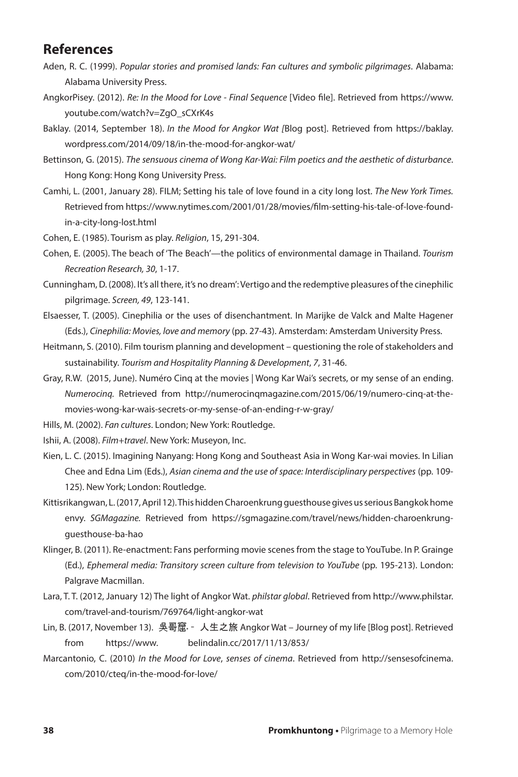#### **References**

- Aden, R. C. (1999). *Popular stories and promised lands: Fan cultures and symbolic pilgrimages*. Alabama: Alabama University Press.
- AngkorPisey. (2012). *Re: In the Mood for Love Final Sequence* [Video file]. Retrieved from https://www. youtube.com/watch?v=ZgO\_sCXrK4s
- Baklay. (2014, September 18). *In the Mood for Angkor Wat [*Blog post]. Retrieved from https://baklay. wordpress.com/2014/09/18/in-the-mood-for-angkor-wat/
- Bettinson, G. (2015). *The sensuous cinema of Wong Kar-Wai: Film poetics and the aesthetic of disturbance*. Hong Kong: Hong Kong University Press.
- Camhi, L. (2001, January 28). FILM; Setting his tale of love found in a city long lost. *The New York Times.* Retrieved from https://www.nytimes.com/2001/01/28/movies/film-setting-his-tale-of-love-foundin-a-city-long-lost.html

Cohen, E. (1985). Tourism as play. *Religion*, 15, 291-304.

- Cohen, E. (2005). The beach of 'The Beach'—the politics of environmental damage in Thailand. *Tourism Recreation Research, 30*, 1-17.
- Cunningham, D. (2008). It's all there, it's no dream': Vertigo and the redemptive pleasures of the cinephilic pilgrimage. *Screen, 49*, 123-141.
- Elsaesser, T. (2005). Cinephilia or the uses of disenchantment. In Marijke de Valck and Malte Hagener (Eds.), *Cinephilia: Movies, love and memory* (pp. 27-43). Amsterdam: Amsterdam University Press.
- Heitmann, S. (2010). Film tourism planning and development questioning the role of stakeholders and sustainability. *Tourism and Hospitality Planning & Development*, *7*, 31-46.
- Gray, R.W. (2015, June). Numéro Cinq at the movies | Wong Kar Wai's secrets, or my sense of an ending. *Numerocinq.* Retrieved from http://numerocinqmagazine.com/2015/06/19/numero-cinq-at-themovies-wong-kar-wais-secrets-or-my-sense-of-an-ending-r-w-gray/
- Hills, M. (2002). *Fan cultures*. London; New York: Routledge.
- Ishii, A. (2008). *Film+travel*. New York: Museyon, Inc.
- Kien, L. C. (2015). Imagining Nanyang: Hong Kong and Southeast Asia in Wong Kar-wai movies. In Lilian Chee and Edna Lim (Eds.), *Asian cinema and the use of space: Interdisciplinary perspectives* (pp. 109- 125). New York; London: Routledge.
- Kittisrikangwan, L. (2017, April 12). This hidden Charoenkrung guesthouse gives us serious Bangkok home envy. *SGMagazine.* Retrieved from https://sgmagazine.com/travel/news/hidden-charoenkrungguesthouse-ba-hao
- Klinger, B. (2011). Re-enactment: Fans performing movie scenes from the stage to YouTube. In P. Grainge (Ed.), *Ephemeral media: Transitory screen culture from television to YouTube* (pp. 195-213). London: Palgrave Macmillan.
- Lara, T. T. (2012, January 12) The light of Angkor Wat. *philstar global*. Retrieved from http://www.philstar. com/travel-and-tourism/769764/light-angkor-wat
- Lin, B. (2017, November 13). 吳哥窟 人生之旅 Angkor Wat Journey of my life [Blog post]. Retrieved from https://www. belindalin.cc/2017/11/13/853/
- Marcantonio, C. (2010) *In the Mood for Love*, *senses of cinema*. Retrieved from http://sensesofcinema. com/2010/cteq/in-the-mood-for-love/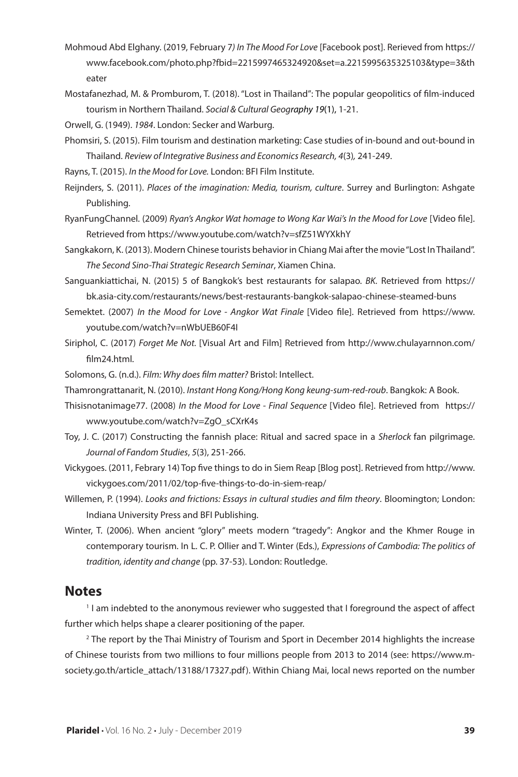- Mohmoud Abd Elghany. (2019, February 7*) In The Mood For Love* [Facebook post]. Rerieved from https:// www.facebook.com/photo.php?fbid=2215997465324920&set=a.2215995635325103&type=3&th eater
- Mostafanezhad, M. & Promburom, T. (2018). "Lost in Thailand": The popular geopolitics of film-induced tourism in Northern Thailand. *Social & Cultural Geography 19*(1), 1-21.
- Orwell, G. (1949). *1984*. London: Secker and Warburg.
- Phomsiri, S. (2015). Film tourism and destination marketing: Case studies of in-bound and out-bound in Thailand. *Review of Integrative Business and Economics Research, 4*(3)*,* 241-249.
- Rayns, T. (2015). *In the Mood for Love.* London: BFI Film Institute.
- Reijnders, S. (2011). *Places of the imagination: Media, tourism, culture*. Surrey and Burlington: Ashgate Publishing.
- RyanFungChannel. (2009) *Ryan's Angkor Wat homage to Wong Kar Wai's In the Mood for Love* [Video file]. Retrieved from https://www.youtube.com/watch?v=sfZ51WYXkhY
- Sangkakorn, K. (2013). Modern Chinese tourists behavior in Chiang Mai after the movie "Lost In Thailand". *The Second Sino-Thai Strategic Research Seminar*, Xiamen China.
- Sanguankiattichai, N. (2015) 5 of Bangkok's best restaurants for salapao. *BK.* Retrieved from https:// bk.asia-city.com/restaurants/news/best-restaurants-bangkok-salapao-chinese-steamed-buns
- Semektet. (2007) *In the Mood for Love Angkor Wat Finale* [Video file]. Retrieved from https://www. youtube.com/watch?v=nWbUEB60F4I
- Siriphol, C. (2017) *Forget Me Not.* [Visual Art and Film] Retrieved from http://www.chulayarnnon.com/ film24.html.
- Solomons, G. (n.d.). *Film: Why does film matter?* Bristol: Intellect.
- Thamrongrattanarit, N. (2010). *Instant Hong Kong/Hong Kong keung-sum-red-roub*. Bangkok: A Book.
- Thisisnotanimage77. (2008) *In the Mood for Love Final Sequence* [Video file]. Retrieved from https:// www.youtube.com/watch?v=ZgO\_sCXrK4s
- Toy, J. C. (2017) Constructing the fannish place: Ritual and sacred space in a *Sherlock* fan pilgrimage. *Journal of Fandom Studies*, *5*(3), 251-266.
- Vickygoes. (2011, Febrary 14) Top five things to do in Siem Reap [Blog post]. Retrieved from http://www. vickygoes.com/2011/02/top-five-things-to-do-in-siem-reap/
- Willemen, P. (1994). *Looks and frictions: Essays in cultural studies and film theory*. Bloomington; London: Indiana University Press and BFI Publishing.
- Winter, T. (2006). When ancient "glory" meets modern "tragedy": Angkor and the Khmer Rouge in contemporary tourism. In L. C. P. Ollier and T. Winter (Eds.), *Expressions of Cambodia: The politics of tradition, identity and change* (pp. 37-53). London: Routledge.

#### **Notes**

1 I am indebted to the anonymous reviewer who suggested that I foreground the aspect of affect further which helps shape a clearer positioning of the paper.

2 The report by the Thai Ministry of Tourism and Sport in December 2014 highlights the increase of Chinese tourists from two millions to four millions people from 2013 to 2014 (see: https://www.msociety.go.th/article\_attach/13188/17327.pdf). Within Chiang Mai, local news reported on the number